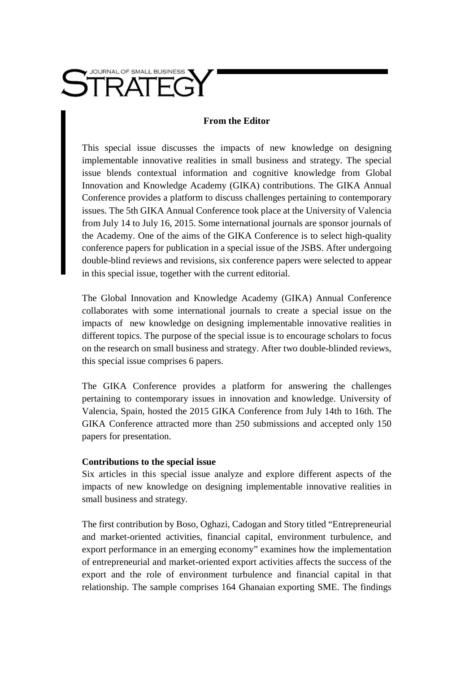

## **From the Editor**

This special issue discusses the impacts of new knowledge on designing implementable innovative realities in small business and strategy. The special issue blends contextual information and cognitive knowledge from Global Innovation and Knowledge Academy (GIKA) contributions. The GIKA Annual Conference provides a platform to discuss challenges pertaining to contemporary issues. The 5th GIKA Annual Conference took place at the University of Valencia from July 14 to July 16, 2015. Some international journals are sponsor journals of the Academy. One of the aims of the GIKA Conference is to select high-quality conference papers for publication in a special issue of the JSBS. After undergoing double-blind reviews and revisions, six conference papers were selected to appear in this special issue, together with the current editorial.

The Global Innovation and Knowledge Academy (GIKA) Annual Conference collaborates with some international journals to create a special issue on the impacts of new knowledge on designing implementable innovative realities in different topics. The purpose of the special issue is to encourage scholars to focus on the research on small business and strategy. After two double-blinded reviews, this special issue comprises 6 papers.

The GIKA Conference provides a platform for answering the challenges pertaining to contemporary issues in innovation and knowledge. University of Valencia, Spain, hosted the 2015 GIKA Conference from July 14th to 16th. The GIKA Conference attracted more than 250 submissions and accepted only 150 papers for presentation.

## **Contributions to the special issue**

Six articles in this special issue analyze and explore different aspects of the impacts of new knowledge on designing implementable innovative realities in small business and strategy.

The first contribution by Boso, Oghazi, Cadogan and Story titled "Entrepreneurial and market-oriented activities, financial capital, environment turbulence, and export performance in an emerging economy" examines how the implementation of entrepreneurial and market-oriented export activities affects the success of the export and the role of environment turbulence and financial capital in that relationship. The sample comprises 164 Ghanaian exporting SME. The findings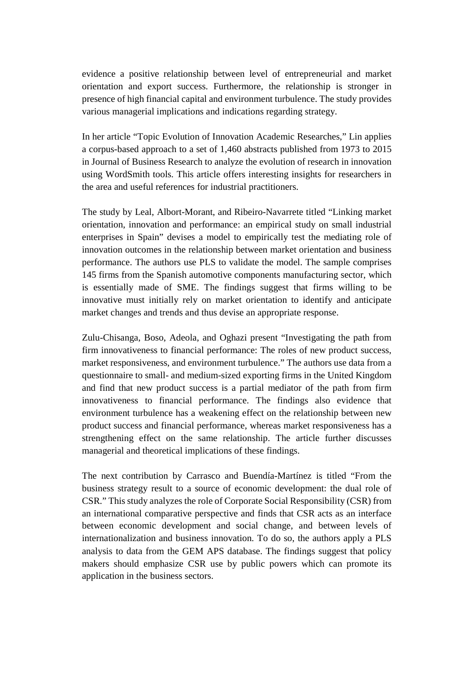evidence a positive relationship between level of entrepreneurial and market orientation and export success. Furthermore, the relationship is stronger in presence of high financial capital and environment turbulence. The study provides various managerial implications and indications regarding strategy.

In her article "Topic Evolution of Innovation Academic Researches," Lin applies a corpus-based approach to a set of 1,460 abstracts published from 1973 to 2015 in Journal of Business Research to analyze the evolution of research in innovation using WordSmith tools. This article offers interesting insights for researchers in the area and useful references for industrial practitioners.

The study by Leal, Albort-Morant, and Ribeiro-Navarrete titled "Linking market orientation, innovation and performance: an empirical study on small industrial enterprises in Spain" devises a model to empirically test the mediating role of innovation outcomes in the relationship between market orientation and business performance. The authors use PLS to validate the model. The sample comprises 145 firms from the Spanish automotive components manufacturing sector, which is essentially made of SME. The findings suggest that firms willing to be innovative must initially rely on market orientation to identify and anticipate market changes and trends and thus devise an appropriate response.

Zulu-Chisanga, Boso, Adeola, and Oghazi present "Investigating the path from firm innovativeness to financial performance: The roles of new product success, market responsiveness, and environment turbulence." The authors use data from a questionnaire to small- and medium-sized exporting firms in the United Kingdom and find that new product success is a partial mediator of the path from firm innovativeness to financial performance. The findings also evidence that environment turbulence has a weakening effect on the relationship between new product success and financial performance, whereas market responsiveness has a strengthening effect on the same relationship. The article further discusses managerial and theoretical implications of these findings.

The next contribution by Carrasco and Buendía-Martínez is titled "From the business strategy result to a source of economic development: the dual role of CSR." This study analyzes the role of Corporate Social Responsibility (CSR) from an international comparative perspective and finds that CSR acts as an interface between economic development and social change, and between levels of internationalization and business innovation. To do so, the authors apply a PLS analysis to data from the GEM APS database. The findings suggest that policy makers should emphasize CSR use by public powers which can promote its application in the business sectors.